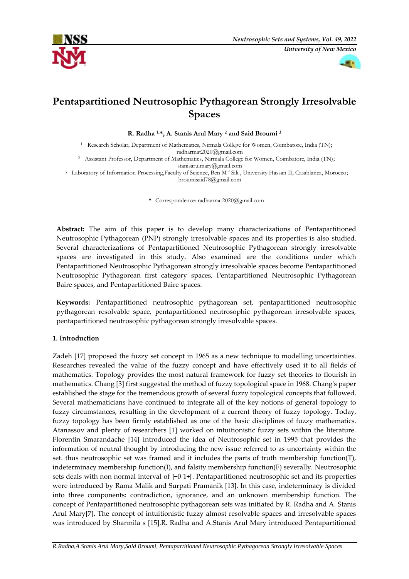



# **Pentapartitioned Neutrosophic Pythagorean Strongly Irresolvable Spaces**

**R. Radha 1,\*, A. Stanis Arul Mary <sup>2</sup> and Said Broumi <sup>3</sup>**

<sup>1</sup> Research Scholar, Department of Mathematics, Nirmala College for Women, Coimbatore, India (TN); radharmat2020@gmail.com

<sup>2</sup> Assistant Professor, Department of Mathematics, Nirmala College for Women, Coimbatore, India (IN); [stanisarulmary@gmail.com](mailto:stanisarulmary@gmail.com)

<sup>3</sup> Laboratory of Information Processing,Faculty of Science, Ben M ' Sik, University Hassan II, Casablanca, Morocco; broumisaid78@gmail.com

**\*** Correspondence: radharmat2020@gmail.com

**Abstract:** The aim of this paper is to develop many characterizations of Pentapartitioned Neutrosophic Pythagorean (PNP) strongly irresolvable spaces and its properties is also studied. Several characterizations of Pentapartitioned Neutrosophic Pythagorean strongly irresolvable spaces are investigated in this study. Also examined are the conditions under which Pentapartitioned Neutrosophic Pythagorean strongly irresolvable spaces become Pentapartitioned Neutrosophic Pythagorean first category spaces, Pentapartitioned Neutrosophic Pythagorean Baire spaces, and Pentapartitioned Baire spaces.

**Keywords:** Pentapartitioned neutrosophic pythagorean set, pentapartitioned neutrosophic pythagorean resolvable space, pentapartitioned neutrosophic pythagorean irresolvable spaces, pentapartitioned neutrosophic pythagorean strongly irresolvable spaces.

## **1. Introduction**

Zadeh [17] proposed the fuzzy set concept in 1965 as a new technique to modelling uncertainties. Researches revealed the value of the fuzzy concept and have effectively used it to all fields of mathematics. Topology provides the most natural framework for fuzzy set theories to flourish in mathematics. Chang [3] first suggested the method of fuzzy topological space in 1968. Chang's paper established the stage for the tremendous growth of several fuzzy topological concepts that followed. Several mathematicians have continued to integrate all of the key notions of general topology to fuzzy circumstances, resulting in the development of a current theory of fuzzy topology. Today, fuzzy topology has been firmly established as one of the basic disciplines of fuzzy mathematics. Atanassov and plenty of researchers [1] worked on intuitionistic fuzzy sets within the literature. Florentin Smarandache [14] introduced the idea of Neutrosophic set in 1995 that provides the information of neutral thought by introducing the new issue referred to as uncertainty within the set. thus neutrosophic set was framed and it includes the parts of truth membership function(T), indeterminacy membership function(I), and falsity membership function(F) severally. Neutrosophic sets deals with non normal interval of ]−0 1+[. Pentapartitioned neutrosophic set and its properties were introduced by Rama Malik and Surpati Pramanik [13]. In this case, indeterminacy is divided into three components: contradiction, ignorance, and an unknown membership function. The concept of Pentapartitioned neutrosophic pythagorean sets was initiated by R. Radha and A. Stanis Arul Mary[7]. The concept of intuitionistic fuzzy almost resolvable spaces and irresolvable spaces was introduced by Sharmila s [15].R. Radha and A.Stanis Arul Mary introduced Pentapartitioned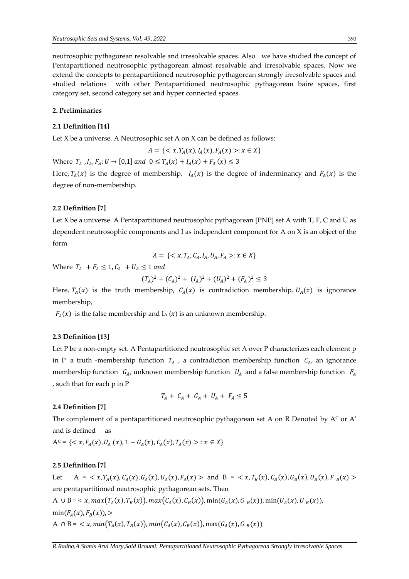neutrosophic pythagorean resolvable and irresolvable spaces. Also we have studied the concept of Pentapartitioned neutrosophic pythagorean almost resolvable and irresolvable spaces. Now we extend the concepts to pentapartitioned neutrosophic pythagorean strongly irresolvable spaces and studied relations with other Pentapartitioned neutrosophic pythagorean baire spaces, first category set, second category set and hyper connected spaces.

#### **2. Preliminaries**

#### **2.1 Definition [14]**

Let X be a universe. A Neutrosophic set A on X can be defined as follows:

$$
A = \{ \langle x, T_A(x), I_A(x), F_A(x) \rangle : x \in X \}
$$

Where  $T_A$ ,  $I_A$ ,  $F_A$ :  $U \to [0,1]$  and  $0 \le T_A(x) + I_A(x) + F_A(x) \le 3$ 

Here,  $T_A(x)$  is the degree of membership,  $I_A(x)$  is the degree of inderminancy and  $F_A(x)$  is the degree of non-membership.

#### **2.2 Definition [7]**

Let X be a universe. A Pentapartitioned neutrosophic pythagorean [PNP] set A with T, F, C and U as dependent neutrosophic components and I as independent component for A on X is an object of the form

$$
A = \{ \langle x, T_A, C_A, I_A, U_A, F_A \rangle : x \in X \}
$$

Where  $T_A$  +  $F_A \leq 1$ ,  $C_A$  +  $U_A \leq 1$  and

$$
(T_A)^2 + (C_A)^2 + (I_A)^2 + (U_A)^2 + (F_A)^2 \le 3
$$

Here,  $T_A(x)$  is the truth membership,  $C_A(x)$  is contradiction membership,  $U_A(x)$  is ignorance membership,

 $F_A(x)$  is the false membership and I<sub>A</sub> (x) is an unknown membership.

#### **2.3 Definition [13]**

Let P be a non-empty set. A Pentapartitioned neutrosophic set A over P characterizes each element p in P a truth -membership function  $T_A$ , a contradiction membership function  $C_A$ , an ignorance membership function  $G_A$ , unknown membership function  $U_A$  and a false membership function  $F_A$ , such that for each p in P

$$
T_A + C_A + G_A + U_A + F_A \leq 5
$$

## **2.4 Definition [7]**

The complement of a pentapartitioned neutrosophic pythagorean set A on R Denoted by  $A<sup>c</sup>$  or  $A<sup>*</sup>$ and is defined as

$$
A^{c} = \{ \langle x, F_{A}(x), U_{A}(x), 1 - G_{A}(x), C_{A}(x), T_{A}(x) \rangle : x \in X \}
$$

## **2.5 Definition [7]**

Let  $A = \langle x, T_A(x), C_A(x), G_A(x), U_A(x), F_A(x) \rangle$  and  $B = \langle x, T_B(x), C_B(x), G_B(x), U_B(x), F_B(x) \rangle$ are pentapartitioned neutrosophic pythagorean sets. Then A  $\cup$  B = < x, max $(T_A(x), T_B(x))$ , max $(C_A(x), C_B(x))$ , min $(G_A(x), G_B(x))$ , min $(U_A(x), U_B(x))$ ,  $min(F_A(x), F_B(x))$ , > A  $\cap$  B =  $\langle x, min(T_A(x), T_B(x)), min(C_A(x), C_B(x)), max(G_A(x), G_B(x)) \rangle$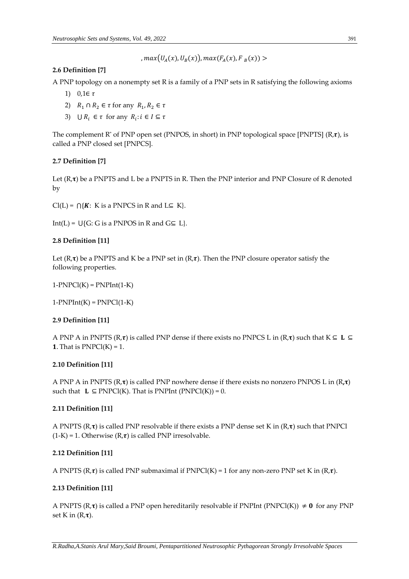$$
, max(U_A(x), U_B(x)), max(F_A(x), F_B(x)) >
$$

# **2.6 Definition [7]**

A PNP topology on a nonempty set R is a family of a PNP sets in R satisfying the following axioms

- 1)  $0,1 \in \tau$
- 2)  $R_1 \cap R_2 \in \tau$  for any  $R_1, R_2 \in \tau$
- 3)  $\bigcup R_i \in \tau$  for any  $R_i : i \in I \subseteq \tau$

The complement R<sup>\*</sup> of PNP open set (PNPOS, in short) in PNP topological space [PNPTS] (R, $\tau$ ), is called a PNP closed set [PNPCS].

# **2.7 Definition [7]**

Let  $(R, \tau)$  be a PNPTS and L be a PNPTS in R. Then the PNP interior and PNP Closure of R denoted by

 $Cl(L) = \bigcap \{K: K \text{ is a PNPCS in R and } L \subseteq K\}.$ 

Int(L) =  $\bigcup$ {G: G is a PNPOS in R and G⊆ L}.

## **2.8 Definition [11]**

Let  $(R,\tau)$  be a PNPTS and K be a PNP set in  $(R,\tau)$ . Then the PNP closure operator satisfy the following properties.

 $1-PNPCl(K) = PNPInt(1-K)$ 

 $1-PNPInt(K) = PNPCl(1-K)$ 

## **2.9 Definition [11]**

A PNP A in PNPTS ( $R,\tau$ ) is called PNP dense if there exists no PNPCS L in ( $R,\tau$ ) such that  $K \subseteq L \subseteq$ **1.** That is  $PNPC1(K) = 1$ .

# **2.10 Definition [11]**

A PNP A in PNPTS  $(R, \tau)$  is called PNP nowhere dense if there exists no nonzero PNPOS L in  $(R, \tau)$ such that  $\mathbf{L} \subseteq \text{PNPCI}(K)$ . That is PNPInt (PNPCI(K)) = 0.

# **2.11 Definition [11]**

A PNPTS  $(R,\tau)$  is called PNP resolvable if there exists a PNP dense set K in  $(R,\tau)$  such that PNPCl  $(1-K) = 1$ . Otherwise  $(R,\tau)$  is called PNP irresolvable.

## **2.12 Definition [11]**

A PNPTS  $(R,\tau)$  is called PNP submaximal if PNPCl(K) = 1 for any non-zero PNP set K in  $(R,\tau)$ .

# **2.13 Definition [11]**

A PNPTS  $(R,\tau)$  is called a PNP open hereditarily resolvable if PNPInt (PNPCl(K))  $\neq 0$  for any PNP set K in  $(R,\tau)$ .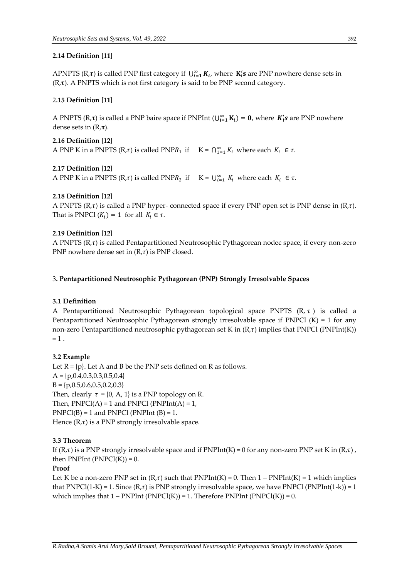## **2.14 Definition [11]**

APNPTS (R, $\tau$ ) is called PNP first category if  $\bigcup_{i=1}^{\infty} K_i$ , where  $K_i$ 's are PNP nowhere dense sets in  $(R, \tau)$ . A PNPTS which is not first category is said to be PNP second category.

## 2**.15 Definition [11]**

A PNPTS (R, $\tau$ ) is called a PNP baire space if PNPInt ( $\bigcup_{i=1}^{\infty} K_i$ ) = 0, where  $K_i$ 's are PNP nowhere dense sets in  $(R,\tau)$ .

# **2.16 Definition [12]** A PNP K in a PNPTS (R, $\tau$ ) is called PNPR<sub>1</sub> if  $K = \bigcap_{i=1}^{\infty} K_i$  where each  $K_i \in \tau$ .

# **2.17 Definition [12]**

A PNP K in a PNPTS (R,  $\tau$ ) is called PNPR<sub>2</sub> if  $K = \bigcup_{i=1}^{\infty} K_i$  where each  $K_i \in \tau$ .

# **2.18 Definition [12]**

A PNPTS  $(R,\tau)$  is called a PNP hyper- connected space if every PNP open set is PNP dense in  $(R,\tau)$ . That is PNPCl  $(K_i) = 1$  for all  $K_i \in \tau$ .

## **2.19 Definition [12]**

A PNPTS  $(R,\tau)$  is called Pentapartitioned Neutrosophic Pythagorean nodec space, if every non-zero PNP nowhere dense set in  $(R,\tau)$  is PNP closed.

## 3**. Pentapartitioned Neutrosophic Pythagorean (PNP) Strongly Irresolvable Spaces**

## **3.1 Definition**

A Pentapartitioned Neutrosophic Pythagorean topological space PNPTS  $(R, \tau)$  is called a Pentapartitioned Neutrosophic Pythagorean strongly irresolvable space if PNPCl  $(K) = 1$  for any non-zero Pentapartitioned neutrosophic pythagorean set K in  $(R,\tau)$  implies that PNPCl (PNPInt(K))  $= 1$ .

## **3.2 Example**

Let  $R = {p}$ . Let A and B be the PNP sets defined on R as follows.  $A = \{p, 0.4, 0.3, 0.3, 0.5, 0.4\}$  $B = \{p, 0.5, 0.6, 0.5, 0.2, 0.3\}$ Then, clearly  $\tau = \{0, A, 1\}$  is a PNP topology on R. Then,  $PNPCI(A) = 1$  and  $PNPCI(PNPInt(A) = 1$ ,  $PNPCI(B) = 1$  and  $PNPCI(PNPInt(B) = 1$ . Hence  $(R,\tau)$  is a PNP strongly irresolvable space.

## **3.3 Theorem**

If  $(R,\tau)$  is a PNP strongly irresolvable space and if PNPInt $(K) = 0$  for any non-zero PNP set K in  $(R,\tau)$ , then  $PNPInt(PNPCl(K)) = 0$ .

## **Proof**

Let K be a non-zero PNP set in  $(R,\tau)$  such that PNPInt(K) = 0. Then 1 – PNPInt(K) = 1 which implies that PNPCl(1-K) = 1. Since  $(R,\tau)$  is PNP strongly irresolvable space, we have PNPCl (PNPInt(1-k)) = 1 which implies that  $1 - PNPInt(PNPCl(K)) = 1$ . Therefore PNPInt  $(PNPCl(K)) = 0$ .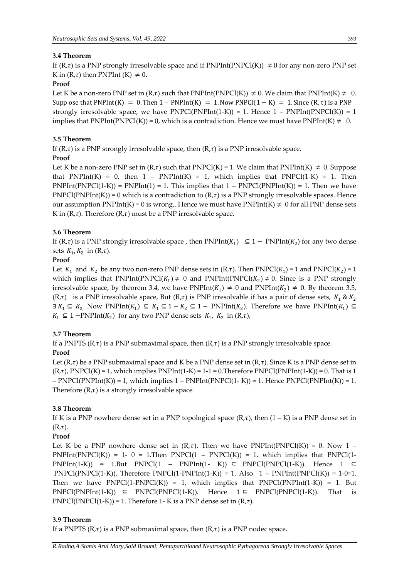# **3.4 Theorem**

If  $(R,\tau)$  is a PNP strongly irresolvable space and if PNPInt(PNPCl(K))  $\neq 0$  for any non-zero PNP set K in  $(R,\tau)$  then PNPInt  $(K) \neq 0$ .

# **Proof**

Let K be a non-zero PNP set in  $(R,\tau)$  such that PNPInt(PNPCl(K))  $\neq$  0. We claim that PNPInt(K)  $\neq$  0. Supp ose that PNPInt(K) = 0. Then  $1 - PNPInt(K) = 1$ . Now PNPCl( $1 - K$ ) = 1. Since  $(R, \tau)$  is a PNP strongly irresolvable space, we have  $PNPCI(PNPInt(1-K)) = 1$ . Hence  $1 - PNPInt(PNPCl(K)) = 1$ implies that PNPInt(PNPCl(K)) = 0, which is a contradiction. Hence we must have PNPInt(K)  $\neq$  0.

## **3.5 Theorem**

If  $(R,\tau)$  is a PNP strongly irresolvable space, then  $(R,\tau)$  is a PNP irresolvable space.

## **Proof**

Let K be a non-zero PNP set in  $(R,\tau)$  such that PNPCl(K) = 1. We claim that PNPInt(K)  $\neq$  0. Suppose that PNPInt(K) = 0, then  $1$  – PNPInt(K) = 1, which implies that PNPCl(1-K) = 1. Then  $PNPInt(PNPCl(1-K)) = PNPInt(1) = 1$ . This implies that  $1 - PNPCl(PNPInt(K)) = 1$ . Then we have  $PNPCI(PNPInt(K)) = 0$  which is a contradiction to  $(R,\tau)$  is a PNP strongly irresolvable spaces. Hence our assumption PNPInt(K) = 0 is wrong,. Hence we must have PNPInt(K)  $\neq$  0 for all PNP dense sets K in  $(R,\tau)$ . Therefore  $(R,\tau)$  must be a PNP irresolvable space.

## **3.6 Theorem**

If  $(R,\tau)$  is a PNP strongly irresolvable space, then PNPInt( $K_1$ )  $\subseteq$  1 – PNPInt( $K_2$ ) for any two dense sets  $K_1, K_2$  in  $(R,\tau)$ .

# **Proof**

Let  $K_1$  and  $K_2$  be any two non-zero PNP dense sets in  $(R,\tau)$ . Then PNPCl $(K_1)$  = 1 and PNPCl $(K_2)$  = 1 which implies that  $PNPInt(PNPC1(K_1) \neq 0$  and  $PNPInt(PNPC1(K_2) \neq 0$ . Since is a PNP strongly irresolvable space, by theorem 3.4, we have  $PNPInt(K_1) \neq 0$  and  $PNPInt(K_2) \neq 0$ . By theorem 3.5,  $(R,\tau)$  is a PNP irresolvable space, But  $(R,\tau)$  is PNP irresolvable if has a pair of dense sets,  $K_1 \& K_2$  $\exists K_1 \subseteq K_2$ , Now PNPInt $(K_1) \subseteq K_1 \subseteq 1 - K_2 \subseteq 1 - PNPInt(K_2)$ . Therefore we have PNPInt $(K_1) \subseteq K_2$  $K_1$  ⊆ 1 −PNPInt( $K_2$ ) for any two PNP dense sets  $K_1$ ,  $K_2$  in (R, $\tau$ ),

## **3.7 Theorem**

If a PNPTS ( $R, \tau$ ) is a PNP submaximal space, then  $(R, \tau)$  is a PNP strongly irresolvable space. **Proof**

Let  $(R,\tau)$  be a PNP submaximal space and K be a PNP dense set in  $(R,\tau)$ . Since K is a PNP dense set in  $(R,\tau)$ , PNPCl(K) = 1, which implies PNPInt(1-K) = 1-1 = 0. Therefore PNPCl(PNPInt(1-K)) = 0. That is 1  $-$  PNPCl(PNPInt(K)) = 1, which implies  $1 -$  PNPInt(PNPCl(1-K)) = 1. Hence PNPCl(PNPInt(K)) = 1. Therefore  $(R,\tau)$  is a strongly irresolvable space

## **3.8 Theorem**

If K is a PNP nowhere dense set in a PNP topological space  $(R,\tau)$ , then  $(1 - K)$  is a PNP dense set in  $(R,\tau).$ 

# **Proof**

Let K be a PNP nowhere dense set in  $(R,\tau)$ . Then we have PNPInt(PNPCl(K)) = 0. Now 1 –  $PNPInt(PNPCl(K)) = 1- 0 = 1.$  Then  $PNPCl(1 - PNPCl(K)) = 1$ , which implies that  $PNPCl(1-1)$  $PNPInt(1-K)$  = 1.But PNPCl(1 – PNPInt(1- K))  $\subseteq$  PNPCl(PNPCl(1-K)). Hence 1  $\subseteq$ PNPCl(PNPCl(1-K)). Therefore  $PNPCl(1-PNPInt(1-K)) = 1$ . Also  $1 - PNPInt(PNPCl(K)) = 1-0=1$ . Then we have  $PNPCl(1-PNPCl(K)) = 1$ , which implies that  $PNPCl(PNPInt(1-K)) = 1$ . But  $PNPCI(PNPInt(1-K)) \subseteq PNPCI(PNPCI(1-K)).$  Hence  $1 \subseteq PNPCI(PNPCI(1-K)).$  That is PNPCl(PNPCl(1-K)) = 1. Therefore 1- K is a PNP dense set in  $(R,\tau)$ .

## **3.9 Theorem**

If a PNPTS ( $R,\tau$ ) is a PNP submaximal space, then ( $R,\tau$ ) is a PNP nodec space.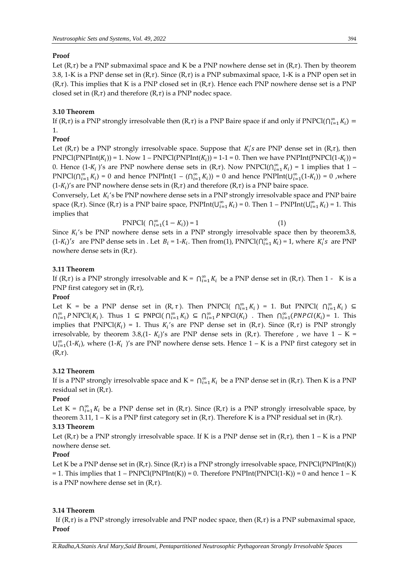#### **Proof**

Let  $(R,\tau)$  be a PNP submaximal space and K be a PNP nowhere dense set in  $(R,\tau)$ . Then by theorem 3.8, 1-K is a PNP dense set in  $(R,\tau)$ . Since  $(R,\tau)$  is a PNP submaximal space, 1-K is a PNP open set in  $(R,\tau)$ . This implies that K is a PNP closed set in  $(R,\tau)$ . Hence each PNP nowhere dense set is a PNP closed set in  $(R,\tau)$  and therefore  $(R,\tau)$  is a PNP nodec space.

## **3.10 Theorem**

If (R, $\tau$ ) is a PNP strongly irresolvable then (R, $\tau$ ) is a PNP Baire space if and only if PNPCl( $\bigcap_{i=1}^{\infty} K_i$ ) = 1.

#### **Proof**

Let  $(R,\tau)$  be a PNP strongly irresolvable space. Suppose that  $K_i$ 's are PNP dense set in  $(R,\tau)$ , then PNPCl(PNPInt( $K_i$ )) = 1. Now 1 – PNPCl(PNPInt( $K_i$ )) = 1-1 = 0. Then we have PNPInt(PNPCl(1- $K_i$ )) = 0. Hence  $(1-K_i)'s$  are PNP nowhere dense sets in  $(R,\tau)$ . Now PNPCl $(\bigcap_{i=1}^{\infty} K_i) = 1$  implies that  $1 -$ PNPCl( $\bigcap_{i=1}^{\infty} K_i$ ) = 0 and hence PNPInt(1 – ( $\bigcap_{i=1}^{\infty} K_i$ )) = 0 and hence PNPInt( $\bigcup_{i=1}^{\infty} (1-K_i)$ ) = 0, where  $(1-K_i)'$ s are PNP nowhere dense sets in  $(R,\tau)$  and therefore  $(R,\tau)$  is a PNP baire space.

Conversely, Let  $K_i$ 's be PNP nowhere dense sets in a PNP strongly irresolvable space and PNP baire space (R, $\tau$ ). Since (R, $\tau$ ) is a PNP baire space, PNPInt( $\bigcup_{i=1}^{\infty} K_i$ ) = 0. Then 1 – PNPInt( $\bigcup_{i=1}^{\infty} K_i$ ) = 1. This implies that

PNPCl(  $\bigcap_{i=1}^{\infty} (1 - K_i) = 1$  (1) Since  $K_i$ 's be PNP nowhere dense sets in a PNP strongly irresolvable space then by theorem3.8,  $(1-K_i)'s$  are PNP dense sets in . Let  $B_i = 1-K_i$ . Then from(1), PNPCl( $\bigcap_{i=1}^{\infty} K_i$ ) = 1, where  $K_i's$  are PNP nowhere dense sets in  $(R,\tau)$ .

#### **3.11 Theorem**

If  $(R,\tau)$  is a PNP strongly irresolvable and  $K = \bigcap_{i=1}^{\infty} K_i$  be a PNP dense set in  $(R,\tau)$ . Then 1 - K is a PNP first category set in  $(R,\tau)$ ,

#### **Proof**

Let K = be a PNP dense set in  $(R, \tau)$ . Then PNPCl(  $\bigcap_{i=1}^{\infty} K_i$ ) = 1. But PNPCl(  $\bigcap_{i=1}^{\infty} K_i$ )  $\subseteq$  $\bigcap_{i=1}^{\infty} P \text{NPCl}(K_i)$ . Thus  $1 \subseteq P \text{NPCl}(\bigcap_{i=1}^{\infty} K_i) \subseteq \bigcap_{i=1}^{\infty} P \text{NPCl}(K_i)$ . Then  $\bigcap_{i=1}^{\infty} (PNPCl(K_i) = 1$ . This implies that PNPCl( $K_i$ ) = 1. Thus  $K_i$ 's are PNP dense set in (R, $\tau$ ). Since (R, $\tau$ ) is PNP strongly irresolvable, by theorem 3.8,(1-  $K_i$ )'s are PNP dense sets in (R, $\tau$ ). Therefore , we have 1 – K =  $\bigcup_{i=1}^{\infty} (1-K_i)$ , where  $(1-K_i)$ 's are PNP nowhere dense sets. Hence  $1-K$  is a PNP first category set in  $(R,\tau).$ 

#### **3.12 Theorem**

If is a PNP strongly irresolvable space and  $K = \bigcap_{i=1}^{\infty} K_i$  be a PNP dense set in  $(R,\tau)$ . Then K is a PNP residual set in  $(R,\tau)$ .

#### **Proof**

Let  $K = \bigcap_{i=1}^{\infty} K_i$  be a PNP dense set in  $(R,\tau)$ . Since  $(R,\tau)$  is a PNP strongly irresolvable space, by theorem 3.11,  $1 - K$  is a PNP first category set in  $(R, \tau)$ . Therefore K is a PNP residual set in  $(R, \tau)$ .

#### **3.13 Theorem**

Let  $(R,\tau)$  be a PNP strongly irresolvable space. If K is a PNP dense set in  $(R,\tau)$ , then  $1 - K$  is a PNP nowhere dense set.

# **Proof**

Let K be a PNP dense set in  $(R,\tau)$ . Since  $(R,\tau)$  is a PNP strongly irresolvable space, PNPCl(PNPInt(K))  $= 1$ . This implies that  $1 - PNPCI(PNPInt(K)) = 0$ . Therefore  $PNPInt(PNPCI(1-K)) = 0$  and hence  $1 - K$ is a PNP nowhere dense set in  $(R,\tau)$ .

#### **3.14 Theorem**

If  $(R, \tau)$  is a PNP strongly irresolvable and PNP nodec space, then  $(R, \tau)$  is a PNP submaximal space, **Proof**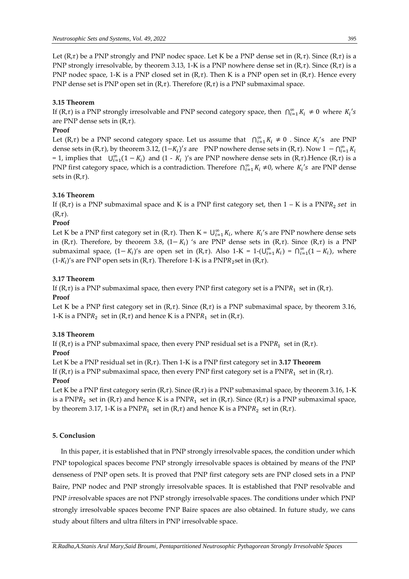Let  $(R,\tau)$  be a PNP strongly and PNP nodec space. Let K be a PNP dense set in  $(R,\tau)$ . Since  $(R,\tau)$  is a PNP strongly irresolvable, by theorem 3.13, 1-K is a PNP nowhere dense set in  $(R, \tau)$ . Since  $(R, \tau)$  is a PNP nodec space, 1-K is a PNP closed set in  $(R,\tau)$ . Then K is a PNP open set in  $(R,\tau)$ . Hence every PNP dense set is PNP open set in  $(R,\tau)$ . Therefore  $(R,\tau)$  is a PNP submaximal space.

## **3.15 Theorem**

If  $(R,\tau)$  is a PNP strongly irresolvable and PNP second category space, then  $\bigcap_{i=1}^{\infty} K_i \neq 0$  where  $K_i$ 's are PNP dense sets in  $(R,\tau)$ .

#### **Proof**

Let  $(R,\tau)$  be a PNP second category space. Let us assume that  $\bigcap_{i=1}^{\infty} K_i \neq 0$ . Since  $K_i$ 's are PNP dense sets in (R, $\tau$ ), by theorem 3.12, (1– $K_i$ )'s are PNP nowhere dense sets in (R, $\tau$ ). Now  $1 - \bigcap_{i=1}^{\infty} K_i$ = 1, implies that  $\bigcup_{i=1}^{\infty} (1 - K_i)$  and  $(1 - K_i)$ 's are PNP nowhere dense sets in  $(R, \tau)$ . Hence  $(R, \tau)$  is a PNP first category space, which is a contradiction. Therefore  $\bigcap_{i=1}^{\infty} K_i \neq 0$ , where  $K_i$ 's are PNP dense sets in  $(R,\tau)$ .

#### **3.16 Theorem**

If (R,t) is a PNP submaximal space and K is a PNP first category set, then  $1 - K$  is a PNPR<sub>2</sub> set in  $(R,\tau).$ 

#### **Proof**

Let K be a PNP first category set in  $(R,\tau)$ . Then  $K = \bigcup_{i=1}^{\infty} K_i$ , where  $K_i$ 's are PNP nowhere dense sets in (R, $\tau$ ). Therefore, by theorem 3.8, (1–  $K_i$ ) 's are PNP dense sets in (R, $\tau$ ). Since (R, $\tau$ ) is a PNP submaximal space,  $(1 - K_i)'$ s are open set in (R,τ). Also 1-K = 1-(∪ $_{i=1}^{\infty} K_i$ ) =  $∩_{i=1}^{\infty}(1 - K_i)$ , where  $(1-K_i)'$ s are PNP open sets in  $(R,\tau)$ . Therefore 1-K is a PNP $R_2$ set in  $(R,\tau)$ .

#### **3.17 Theorem**

If (R, $\tau$ ) is a PNP submaximal space, then every PNP first category set is a PNP $R_1$  set in (R, $\tau$ ).

## **Proof**

Let K be a PNP first category set in  $(R, \tau)$ . Since  $(R, \tau)$  is a PNP submaximal space, by theorem 3.16, 1-K is a PNP $R_2$  set in  $(R,\tau)$  and hence K is a PNP $R_1$  set in  $(R,\tau)$ .

#### **3.18 Theorem**

If (R, $\tau$ ) is a PNP submaximal space, then every PNP residual set is a PNP $R_1$  set in (R, $\tau$ ).

#### **Proof**

Let K be a PNP residual set in  $(R, \tau)$ . Then 1-K is a PNP first category set in **3.17 Theorem** 

If (R, $\tau$ ) is a PNP submaximal space, then every PNP first category set is a PNP $R_1$  set in (R, $\tau$ ). **Proof**

Let K be a PNP first category serin  $(R,\tau)$ . Since  $(R,\tau)$  is a PNP submaximal space, by theorem 3.16, 1-K is a PNPR<sub>2</sub> set in (R, $\tau$ ) and hence K is a PNPR<sub>1</sub> set in (R, $\tau$ ). Since (R, $\tau$ ) is a PNP submaximal space, by theorem 3.17, 1-K is a PNP $R_1$  set in (R, $\tau$ ) and hence K is a PNP $R_2$  set in (R, $\tau$ ).

## **5. Conclusion**

In this paper, it is established that in PNP strongly irresolvable spaces, the condition under which PNP topological spaces become PNP strongly irresolvable spaces is obtained by means of the PNP denseness of PNP open sets. It is proved that PNP first category sets are PNP closed sets in a PNP Baire, PNP nodec and PNP strongly irresolvable spaces. It is established that PNP resolvable and PNP *ir*resolvable spaces are not PNP strongly irresolvable spaces. The conditions under which PNP strongly irresolvable spaces become PNP Baire spaces are also obtained. In future study, we cans study about filters and ultra filters in PNP irresolvable space.